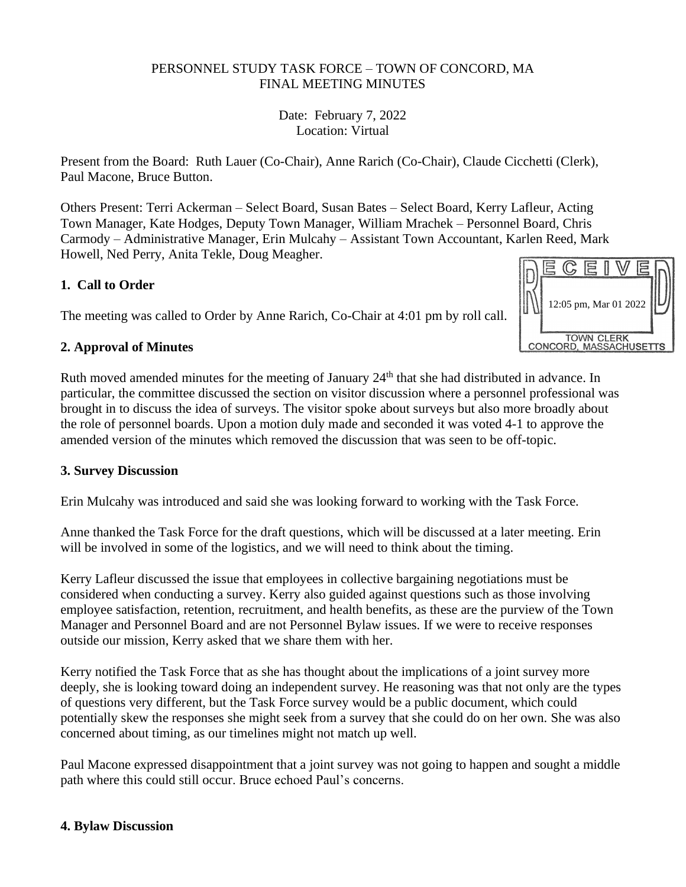### PERSONNEL STUDY TASK FORCE – TOWN OF CONCORD, MA FINAL MEETING MINUTES

Date: February 7, 2022 Location: Virtual

Present from the Board: Ruth Lauer (Co-Chair), Anne Rarich (Co-Chair), Claude Cicchetti (Clerk), Paul Macone, Bruce Button.

Others Present: Terri Ackerman – Select Board, Susan Bates – Select Board, Kerry Lafleur, Acting Town Manager, Kate Hodges, Deputy Town Manager, William Mrachek – Personnel Board, Chris Carmody – Administrative Manager, Erin Mulcahy – Assistant Town Accountant, Karlen Reed, Mark Howell, Ned Perry, Anita Tekle, Doug Meagher.

## **1. Call to Order**

The meeting was called to Order by Anne Rarich, Co-Chair at 4:01 pm by roll call.

## **2. Approval of Minutes**

Ruth moved amended minutes for the meeting of January 24<sup>th</sup> that she had distributed in advance. In particular, the committee discussed the section on visitor discussion where a personnel professional was brought in to discuss the idea of surveys. The visitor spoke about surveys but also more broadly about the role of personnel boards. Upon a motion duly made and seconded it was voted 4-1 to approve the amended version of the minutes which removed the discussion that was seen to be off-topic.

#### **3. Survey Discussion**

Erin Mulcahy was introduced and said she was looking forward to working with the Task Force.

Anne thanked the Task Force for the draft questions, which will be discussed at a later meeting. Erin will be involved in some of the logistics, and we will need to think about the timing.

Kerry Lafleur discussed the issue that employees in collective bargaining negotiations must be considered when conducting a survey. Kerry also guided against questions such as those involving employee satisfaction, retention, recruitment, and health benefits, as these are the purview of the Town Manager and Personnel Board and are not Personnel Bylaw issues. If we were to receive responses outside our mission, Kerry asked that we share them with her.

Kerry notified the Task Force that as she has thought about the implications of a joint survey more deeply, she is looking toward doing an independent survey. He reasoning was that not only are the types of questions very different, but the Task Force survey would be a public document, which could potentially skew the responses she might seek from a survey that she could do on her own. She was also concerned about timing, as our timelines might not match up well.

Paul Macone expressed disappointment that a joint survey was not going to happen and sought a middle path where this could still occur. Bruce echoed Paul's concerns.